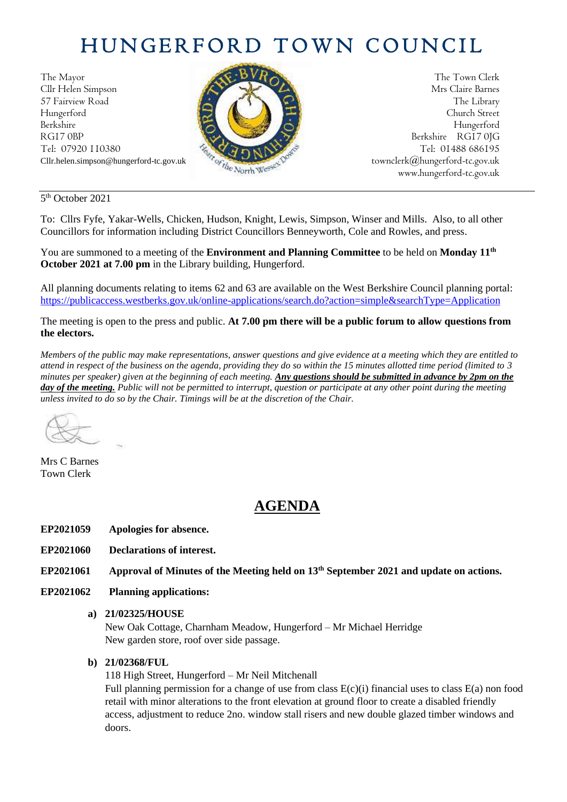# HUNGERFORD TOWN COUNCIL

The Mayor The Town Clerk Cllr Helen Simpson Mrs Claire Barnes 57 Fairview Road The Library (2004) Hungerford Church Street Berkshire Hungerford RG17 0BP Berkshire RG17 0JG Tel: 07920 110380 **Tel: 07920 110380** Tel: 07920 110380



Cllr.helen.simpson@hungerford-tc.gov.uk [townclerk@hungerford-tc.gov.uk](about:blank) townclerk@hungerford-tc.gov.uk www.hungerford-tc.gov.uk [www.hungerford-tc.gov.uk](http://www.hungerford-tc.gov.uk/)

5<sup>th</sup> October 2021

To: Cllrs Fyfe, Yakar-Wells, Chicken, Hudson, Knight, Lewis, Simpson, Winser and Mills. Also, to all other Councillors for information including District Councillors Benneyworth, Cole and Rowles, and press.

You are summoned to a meeting of the **Environment and Planning Committee** to be held on **Monday 11 th October 2021 at 7.00 pm** in the Library building, Hungerford.

All planning documents relating to items 62 and 63 are available on the West Berkshire Council planning portal: <https://publicaccess.westberks.gov.uk/online-applications/search.do?action=simple&searchType=Application>

The meeting is open to the press and public. **At 7.00 pm there will be a public forum to allow questions from the electors.** 

*Members of the public may make representations, answer questions and give evidence at a meeting which they are entitled to attend in respect of the business on the agenda, providing they do so within the 15 minutes allotted time period (limited to 3 minutes per speaker) given at the beginning of each meeting. Any questions should be submitted in advance by 2pm on the day of the meeting. Public will not be permitted to interrupt, question or participate at any other point during the meeting unless invited to do so by the Chair. Timings will be at the discretion of the Chair.* 

Mrs C Barnes Town Clerk

## **AGENDA**

- **EP2021059 Apologies for absence.**
- **EP2021060 Declarations of interest.**
- **EP2021061 Approval of Minutes of the Meeting held on 13th September 2021 and update on actions.**
- **EP2021062 Planning applications:**
	- **a) 21/02325/HOUSE**

New Oak Cottage, Charnham Meadow, Hungerford – Mr Michael Herridge New garden store, roof over side passage.

#### **b) 21/02368/FUL**

118 High Street, Hungerford – Mr Neil Mitchenall

Full planning permission for a change of use from class  $E(c)(i)$  financial uses to class  $E(a)$  non food retail with minor alterations to the front elevation at ground floor to create a disabled friendly access, adjustment to reduce 2no. window stall risers and new double glazed timber windows and doors.